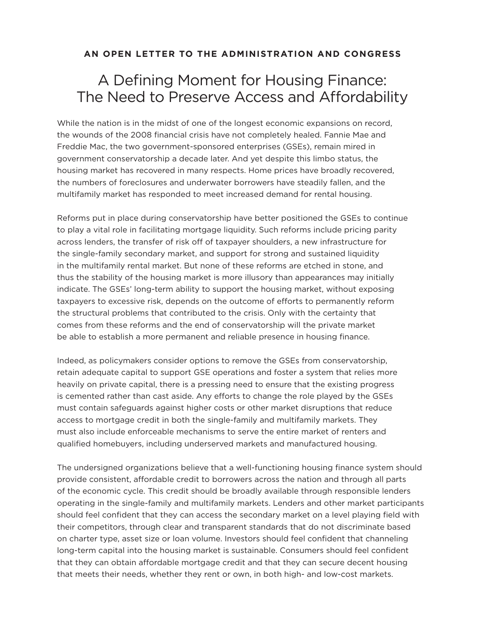## **AN OPEN LETTER TO THE ADMINISTRATION AND CONGRESS**

## A Defining Moment for Housing Finance: The Need to Preserve Access and Affordability

While the nation is in the midst of one of the longest economic expansions on record, the wounds of the 2008 financial crisis have not completely healed. Fannie Mae and Freddie Mac, the two government-sponsored enterprises (GSEs), remain mired in government conservatorship a decade later. And yet despite this limbo status, the housing market has recovered in many respects. Home prices have broadly recovered, the numbers of foreclosures and underwater borrowers have steadily fallen, and the multifamily market has responded to meet increased demand for rental housing.

Reforms put in place during conservatorship have better positioned the GSEs to continue to play a vital role in facilitating mortgage liquidity. Such reforms include pricing parity across lenders, the transfer of risk off of taxpayer shoulders, a new infrastructure for the single-family secondary market, and support for strong and sustained liquidity in the multifamily rental market. But none of these reforms are etched in stone, and thus the stability of the housing market is more illusory than appearances may initially indicate. The GSEs' long-term ability to support the housing market, without exposing taxpayers to excessive risk, depends on the outcome of efforts to permanently reform the structural problems that contributed to the crisis. Only with the certainty that comes from these reforms and the end of conservatorship will the private market be able to establish a more permanent and reliable presence in housing finance.

Indeed, as policymakers consider options to remove the GSEs from conservatorship, retain adequate capital to support GSE operations and foster a system that relies more heavily on private capital, there is a pressing need to ensure that the existing progress is cemented rather than cast aside. Any efforts to change the role played by the GSEs must contain safeguards against higher costs or other market disruptions that reduce access to mortgage credit in both the single-family and multifamily markets. They must also include enforceable mechanisms to serve the entire market of renters and qualified homebuyers, including underserved markets and manufactured housing.

The undersigned organizations believe that a well-functioning housing finance system should provide consistent, affordable credit to borrowers across the nation and through all parts of the economic cycle. This credit should be broadly available through responsible lenders operating in the single-family and multifamily markets. Lenders and other market participants should feel confident that they can access the secondary market on a level playing field with their competitors, through clear and transparent standards that do not discriminate based on charter type, asset size or loan volume. Investors should feel confident that channeling long-term capital into the housing market is sustainable. Consumers should feel confident that they can obtain affordable mortgage credit and that they can secure decent housing that meets their needs, whether they rent or own, in both high- and low-cost markets.